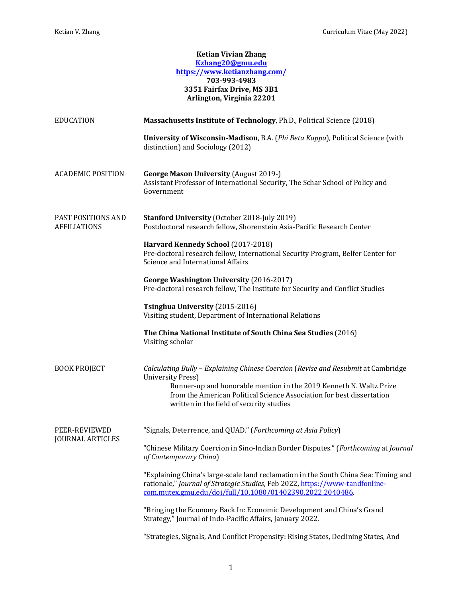## **Ketian Vivian Zhang Kzhang20@gmu.edu https://www.ketianzhang.com/ 703-993-4983 3351 Fairfax Drive, MS 3B1 Arlington, Virginia 22201 EDUCATION Massachusetts Institute of Technology**, Ph.D., Political Science (2018) **University of Wisconsin-Madison**, B.A. (*Phi Beta Kappa*), Political Science (with distinction) and Sociology (2012) ACADEMIC POSITION **George Mason University** (August 2019-) Assistant Professor of International Security, The Schar School of Policy and Government PAST POSITIONS AND AFFILIATIONS **Stanford University** (October 2018-July 2019) Postdoctoral research fellow, Shorenstein Asia-Pacific Research Center **Harvard Kennedy School** (2017-2018) Pre-doctoral research fellow, International Security Program, Belfer Center for Science and International Affairs **George Washington University** (2016-2017) Pre-doctoral research fellow, The Institute for Security and Conflict Studies **Tsinghua University** (2015-2016) Visiting student, Department of International Relations **The China National Institute of South China Sea Studies** (2016) Visiting scholar BOOK PROJECT *Calculating Bully – Explaining Chinese Coercion* (*Revise and Resubmit* at Cambridge University Press) Runner-up and honorable mention in the 2019 Kenneth N. Waltz Prize from the American Political Science Association for best dissertation written in the field of security studies PEER-REVIEWED JOURNAL ARTICLES "Signals, Deterrence, and QUAD." (*Forthcoming at Asia Policy*) "Chinese Military Coercion in Sino-Indian Border Disputes." (*Forthcoming* at *Journal of Contemporary China*) "Explaining China's large-scale land reclamation in the South China Sea: Timing and rationale," *Journal of Strategic Studies*, Feb 2022, https://www-tandfonlinecom.mutex.gmu.edu/doi/full/10.1080/01402390.2022.2040486. "Bringing the Economy Back In: Economic Development and China's Grand Strategy," Journal of Indo-Pacific Affairs, January 2022.

"Strategies, Signals, And Conflict Propensity: Rising States, Declining States, And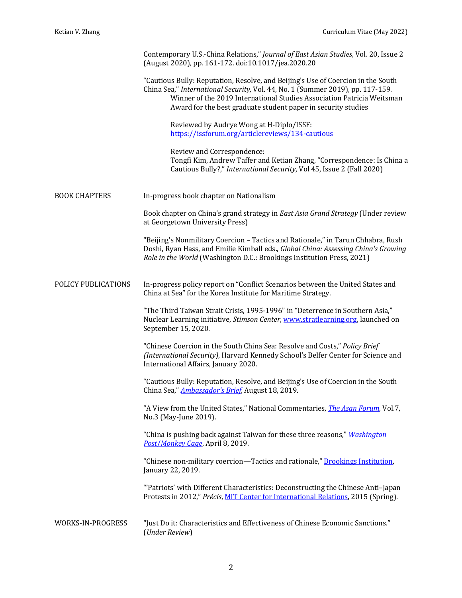|                      | Contemporary U.S.-China Relations," Journal of East Asian Studies, Vol. 20, Issue 2<br>(August 2020), pp. 161-172. doi:10.1017/jea.2020.20                                                                                                                                                                    |
|----------------------|---------------------------------------------------------------------------------------------------------------------------------------------------------------------------------------------------------------------------------------------------------------------------------------------------------------|
|                      | "Cautious Bully: Reputation, Resolve, and Beijing's Use of Coercion in the South<br>China Sea," International Security, Vol. 44, No. 1 (Summer 2019), pp. 117-159.<br>Winner of the 2019 International Studies Association Patricia Weitsman<br>Award for the best graduate student paper in security studies |
|                      | Reviewed by Audrye Wong at H-Diplo/ISSF:<br>https://issforum.org/articlereviews/134-cautious                                                                                                                                                                                                                  |
|                      | Review and Correspondence:<br>Tongfi Kim, Andrew Taffer and Ketian Zhang, "Correspondence: Is China a<br>Cautious Bully?," International Security, Vol 45, Issue 2 (Fall 2020)                                                                                                                                |
| <b>BOOK CHAPTERS</b> | In-progress book chapter on Nationalism                                                                                                                                                                                                                                                                       |
|                      | Book chapter on China's grand strategy in East Asia Grand Strategy (Under review<br>at Georgetown University Press)                                                                                                                                                                                           |
|                      | "Beijing's Nonmilitary Coercion - Tactics and Rationale," in Tarun Chhabra, Rush<br>Doshi, Ryan Hass, and Emilie Kimball eds., Global China: Assessing China's Growing<br>Role in the World (Washington D.C.: Brookings Institution Press, 2021)                                                              |
| POLICY PUBLICATIONS  | In-progress policy report on "Conflict Scenarios between the United States and<br>China at Sea" for the Korea Institute for Maritime Strategy.                                                                                                                                                                |
|                      | "The Third Taiwan Strait Crisis, 1995-1996" in "Deterrence in Southern Asia,"<br>Nuclear Learning initiative, Stimson Center, www.stratlearning.org, launched on<br>September 15, 2020.                                                                                                                       |
|                      | "Chinese Coercion in the South China Sea: Resolve and Costs," Policy Brief<br>(International Security), Harvard Kennedy School's Belfer Center for Science and<br>International Affairs, January 2020.                                                                                                        |
|                      | "Cautious Bully: Reputation, Resolve, and Beijing's Use of Coercion in the South<br>China Sea," <b>Ambassador's Brief</b> , August 18, 2019.                                                                                                                                                                  |
|                      | "A View from the United States," National Commentaries, <i>The Asan Forum</i> , Vol.7,<br>No.3 (May-June 2019).                                                                                                                                                                                               |
|                      | "China is pushing back against Taiwan for these three reasons," Washington<br>Post/Monkey Cage, April 8, 2019.                                                                                                                                                                                                |
|                      | "Chinese non-military coercion—Tactics and rationale," Brookings Institution,<br>January 22, 2019.                                                                                                                                                                                                            |
|                      | "Patriots' with Different Characteristics: Deconstructing the Chinese Anti-Japan<br>Protests in 2012," Précis, MIT Center for International Relations, 2015 (Spring).                                                                                                                                         |
| WORKS-IN-PROGRESS    | "Just Do it: Characteristics and Effectiveness of Chinese Economic Sanctions."<br>(Under Review)                                                                                                                                                                                                              |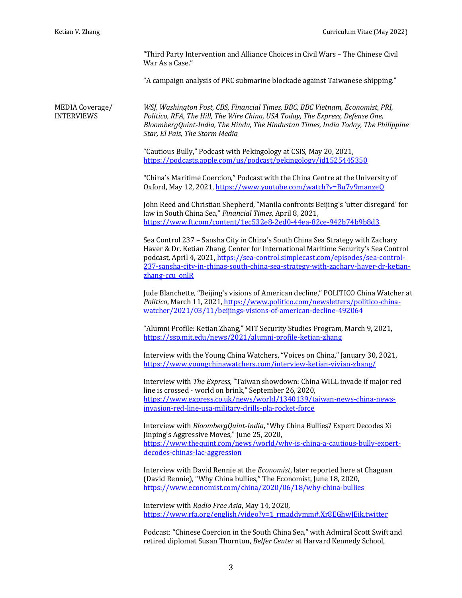"Third Party Intervention and Alliance Choices in Civil Wars - The Chinese Civil War As a Case."

"A campaign analysis of PRC submarine blockade against Taiwanese shipping."

MEDIA Coverage/ INTERVIEWS

*WSJ, Washington Post, CBS, Financial Times, BBC, BBC Vietnam, Economist, PRI, Politico, RFA, The Hill, The Wire China, USA Today, The Express, Defense One, BloombergQuint-India, The Hindu, The Hindustan Times, India Today, The Philippine Star, El Pais, The Storm Media*

"Cautious Bully," Podcast with Pekingology at CSIS, May 20, 2021, https://podcasts.apple.com/us/podcast/pekingology/id1525445350

"China's Maritime Coercion," Podcast with the China Centre at the University of Oxford, May 12, 2021, https://www.youtube.com/watch?v=Bu7v9manzeQ

John Reed and Christian Shepherd, "Manila confronts Beijing's 'utter disregard' for law in South China Sea," *Financial Times*, April 8, 2021. https://www.ft.com/content/1ec532e8-2ed0-44ea-82ce-942b74b9b8d3

Sea Control 237 - Sansha City in China's South China Sea Strategy with Zachary Haver & Dr. Ketian Zhang, Center for International Maritime Security's Sea Control podcast, April 4, 2021, https://sea-control.simplecast.com/episodes/sea-control-237-sansha-city-in-chinas-south-china-sea-strategy-with-zachary-haver-dr-ketianzhang-ccu\_onlR

Jude Blanchette, "Beijing's visions of American decline," POLITICO China Watcher at Politico, March 11, 2021, https://www.politico.com/newsletters/politico-chinawatcher/2021/03/11/beijings-visions-of-american-decline-492064

"Alumni Profile: Ketian Zhang," MIT Security Studies Program, March 9, 2021, https://ssp.mit.edu/news/2021/alumni-profile-ketian-zhang

Interview with the Young China Watchers, "Voices on China," January 30, 2021, https://www.youngchinawatchers.com/interview-ketian-vivian-zhang/

Interview with *The Express,* "Taiwan showdown: China WILL invade if major red line is crossed - world on brink," September 26, 2020, https://www.express.co.uk/news/world/1340139/taiwan-news-china-newsinvasion-red-line-usa-military-drills-pla-rocket-force

Interview with *BloombergQuint-India*, "Why China Bullies? Expert Decodes Xi Jinping's Aggressive Moves," June 25, 2020, https://www.thequint.com/news/world/why-is-china-a-cautious-bully-expertdecodes-chinas-lac-aggression

Interview with David Rennie at the *Economist*, later reported here at Chaguan (David Rennie), "Why China bullies," The Economist, June 18, 2020, https://www.economist.com/china/2020/06/18/why-china-bullies

Interview with *Radio Free Asia*, May 14, 2020, https://www.rfa.org/english/video?v=1\_rmaddymm#.Xr8EGhwJEik.twitter

Podcast: "Chinese Coercion in the South China Sea," with Admiral Scott Swift and retired diplomat Susan Thornton, *Belfer Center* at Harvard Kennedy School,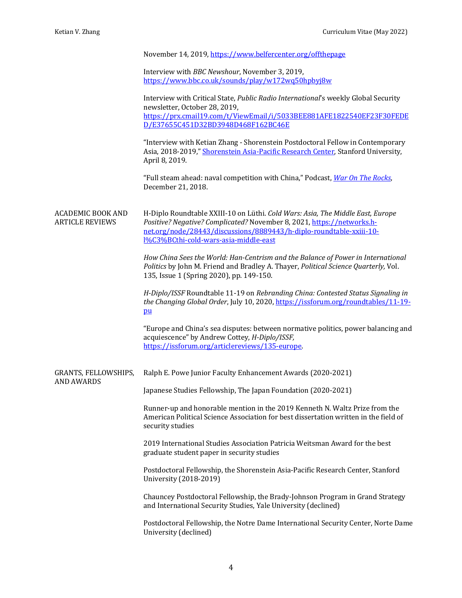|                                                    | November 14, 2019, https://www.belfercenter.org/offthepage                                                                                                                                                                                                               |
|----------------------------------------------------|--------------------------------------------------------------------------------------------------------------------------------------------------------------------------------------------------------------------------------------------------------------------------|
|                                                    | Interview with BBC Newshour, November 3, 2019,<br>https://www.bbc.co.uk/sounds/play/w172wq50hpbyj8w                                                                                                                                                                      |
|                                                    | Interview with Critical State, Public Radio International's weekly Global Security<br>newsletter, October 28, 2019,                                                                                                                                                      |
|                                                    | https://prx.cmail19.com/t/ViewEmail/i/5033BEE881AFE1822540EF23F30FEDE<br>D/E37655C451D32BD3948D468F162BC46E                                                                                                                                                              |
|                                                    | "Interview with Ketian Zhang - Shorenstein Postdoctoral Fellow in Contemporary<br>Asia, 2018-2019," Shorenstein Asia-Pacific Research Center, Stanford University,<br>April 8, 2019.                                                                                     |
|                                                    | "Full steam ahead: naval competition with China," Podcast, War On The Rocks,<br>December 21, 2018.                                                                                                                                                                       |
| <b>ACADEMIC BOOK AND</b><br><b>ARTICLE REVIEWS</b> | H-Diplo Roundtable XXIII-10 on Lüthi. Cold Wars: Asia, The Middle East, Europe<br>Positive? Negative? Complicated? November 8, 2021, https://networks.h-<br>net.org/node/28443/discussions/8889443/h-diplo-roundtable-xxiii-10-<br>1%C3%BCthi-cold-wars-asia-middle-east |
|                                                    | How China Sees the World: Han-Centrism and the Balance of Power in International<br>Politics by John M. Friend and Bradley A. Thayer, Political Science Quarterly, Vol.<br>135, Issue 1 (Spring 2020), pp. 149-150.                                                      |
|                                                    | H-Diplo/ISSF Roundtable 11-19 on Rebranding China: Contested Status Signaling in<br>the Changing Global Order, July 10, 2020, https://issforum.org/roundtables/11-19-<br>p <u>u</u>                                                                                      |
|                                                    | "Europe and China's sea disputes: between normative politics, power balancing and<br>acquiescence" by Andrew Cottey, H-Diplo/ISSF,<br>https://issforum.org/articlereviews/135-europe.                                                                                    |
| GRANTS, FELLOWSHIPS,<br><b>AND AWARDS</b>          | Ralph E. Powe Junior Faculty Enhancement Awards (2020-2021)                                                                                                                                                                                                              |
|                                                    | Japanese Studies Fellowship, The Japan Foundation (2020-2021)                                                                                                                                                                                                            |
|                                                    | Runner-up and honorable mention in the 2019 Kenneth N. Waltz Prize from the<br>American Political Science Association for best dissertation written in the field of<br>security studies                                                                                  |
|                                                    | 2019 International Studies Association Patricia Weitsman Award for the best<br>graduate student paper in security studies                                                                                                                                                |
|                                                    | Postdoctoral Fellowship, the Shorenstein Asia-Pacific Research Center, Stanford<br>University (2018-2019)                                                                                                                                                                |
|                                                    | Chauncey Postdoctoral Fellowship, the Brady-Johnson Program in Grand Strategy<br>and International Security Studies, Yale University (declined)                                                                                                                          |
|                                                    | Postdoctoral Fellowship, the Notre Dame International Security Center, Norte Dame<br>University (declined)                                                                                                                                                               |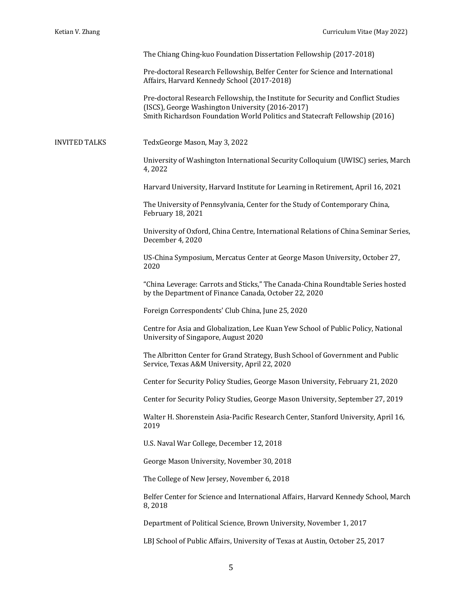The Chiang Ching-kuo Foundation Dissertation Fellowship (2017-2018)

Pre-doctoral Research Fellowship, Belfer Center for Science and International Affairs, Harvard Kennedy School (2017-2018)

Pre-doctoral Research Fellowship, the Institute for Security and Conflict Studies (ISCS), George Washington University (2016-2017) Smith Richardson Foundation World Politics and Statecraft Fellowship (2016)

INVITED TALKS TedxGeorge Mason, May 3, 2022

University of Washington International Security Colloquium (UWISC) series, March 4, 2022

Harvard University, Harvard Institute for Learning in Retirement, April 16, 2021

The University of Pennsylvania, Center for the Study of Contemporary China, February 18, 2021

University of Oxford, China Centre, International Relations of China Seminar Series, December 4, 2020

US-China Symposium, Mercatus Center at George Mason University, October 27, 2020

"China Leverage: Carrots and Sticks," The Canada-China Roundtable Series hosted by the Department of Finance Canada, October 22, 2020

Foreign Correspondents' Club China, June 25, 2020

Centre for Asia and Globalization, Lee Kuan Yew School of Public Policy, National University of Singapore, August 2020

The Albritton Center for Grand Strategy, Bush School of Government and Public Service, Texas A&M University, April 22, 2020

Center for Security Policy Studies, George Mason University, February 21, 2020

Center for Security Policy Studies, George Mason University, September 27, 2019

Walter H. Shorenstein Asia-Pacific Research Center, Stanford University, April 16, 2019

U.S. Naval War College, December 12, 2018

George Mason University, November 30, 2018

The College of New Jersey, November 6, 2018

Belfer Center for Science and International Affairs, Harvard Kennedy School, March 8, 2018

Department of Political Science, Brown University, November 1, 2017

LBJ School of Public Affairs, University of Texas at Austin, October 25, 2017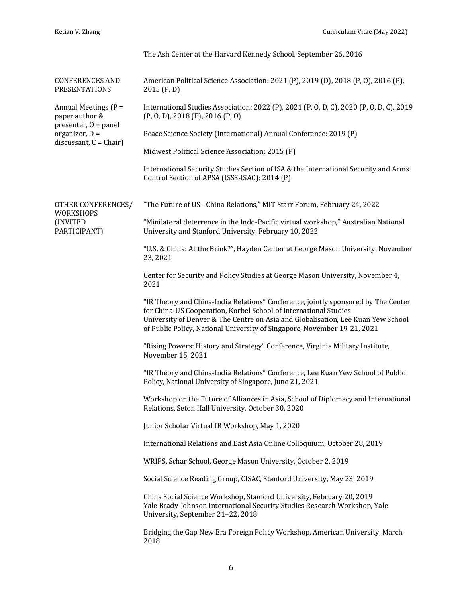|                                                                                                                 | The Ash Center at the Harvard Kennedy School, September 26, 2016                                                                                                                                                                                                                                                      |
|-----------------------------------------------------------------------------------------------------------------|-----------------------------------------------------------------------------------------------------------------------------------------------------------------------------------------------------------------------------------------------------------------------------------------------------------------------|
| <b>CONFERENCES AND</b><br><b>PRESENTATIONS</b>                                                                  | American Political Science Association: 2021 (P), 2019 (D), 2018 (P, O), 2016 (P),<br>2015(P, D)                                                                                                                                                                                                                      |
| Annual Meetings (P =<br>paper author &<br>presenter, $0 =$ panel<br>organizer, D =<br>discussant, $C = Chair$ ) | International Studies Association: 2022 (P), 2021 (P, O, D, C), 2020 (P, O, D, C), 2019<br>$(P, O, D)$ , 2018 $(P)$ , 2016 $(P, O)$                                                                                                                                                                                   |
|                                                                                                                 | Peace Science Society (International) Annual Conference: 2019 (P)                                                                                                                                                                                                                                                     |
|                                                                                                                 | Midwest Political Science Association: 2015 (P)                                                                                                                                                                                                                                                                       |
|                                                                                                                 | International Security Studies Section of ISA & the International Security and Arms<br>Control Section of APSA (ISSS-ISAC): 2014 (P)                                                                                                                                                                                  |
| OTHER CONFERENCES/<br>WORKSHOPS<br>(INVITED<br>PARTICIPANT)                                                     | "The Future of US - China Relations," MIT Starr Forum, February 24, 2022                                                                                                                                                                                                                                              |
|                                                                                                                 | "Minilateral deterrence in the Indo-Pacific virtual workshop," Australian National<br>University and Stanford University, February 10, 2022                                                                                                                                                                           |
|                                                                                                                 | "U.S. & China: At the Brink?", Hayden Center at George Mason University, November<br>23, 2021                                                                                                                                                                                                                         |
|                                                                                                                 | Center for Security and Policy Studies at George Mason University, November 4,<br>2021                                                                                                                                                                                                                                |
|                                                                                                                 | "IR Theory and China-India Relations" Conference, jointly sponsored by The Center<br>for China-US Cooperation, Korbel School of International Studies<br>University of Denver & The Centre on Asia and Globalisation, Lee Kuan Yew School<br>of Public Policy, National University of Singapore, November 19-21, 2021 |
|                                                                                                                 | "Rising Powers: History and Strategy" Conference, Virginia Military Institute,<br>November 15, 2021                                                                                                                                                                                                                   |
|                                                                                                                 | "IR Theory and China-India Relations" Conference, Lee Kuan Yew School of Public<br>Policy, National University of Singapore, June 21, 2021                                                                                                                                                                            |
|                                                                                                                 | Workshop on the Future of Alliances in Asia, School of Diplomacy and International<br>Relations, Seton Hall University, October 30, 2020                                                                                                                                                                              |
|                                                                                                                 | Junior Scholar Virtual IR Workshop, May 1, 2020                                                                                                                                                                                                                                                                       |
|                                                                                                                 | International Relations and East Asia Online Colloquium, October 28, 2019                                                                                                                                                                                                                                             |
|                                                                                                                 | WRIPS, Schar School, George Mason University, October 2, 2019                                                                                                                                                                                                                                                         |
|                                                                                                                 | Social Science Reading Group, CISAC, Stanford University, May 23, 2019                                                                                                                                                                                                                                                |
|                                                                                                                 | China Social Science Workshop, Stanford University, February 20, 2019<br>Yale Brady-Johnson International Security Studies Research Workshop, Yale<br>University, September 21-22, 2018                                                                                                                               |
|                                                                                                                 | Bridging the Gap New Era Foreign Policy Workshop, American University, March<br>2018                                                                                                                                                                                                                                  |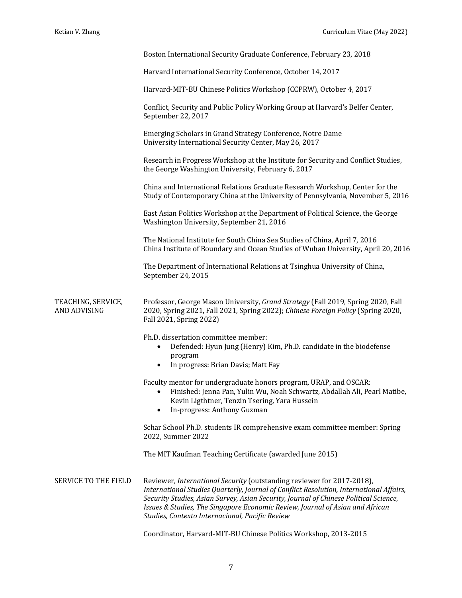|                                    | Boston International Security Graduate Conference, February 23, 2018                                                                                                                                                                                                                                                                                                                           |
|------------------------------------|------------------------------------------------------------------------------------------------------------------------------------------------------------------------------------------------------------------------------------------------------------------------------------------------------------------------------------------------------------------------------------------------|
|                                    | Harvard International Security Conference, October 14, 2017                                                                                                                                                                                                                                                                                                                                    |
|                                    | Harvard-MIT-BU Chinese Politics Workshop (CCPRW), October 4, 2017                                                                                                                                                                                                                                                                                                                              |
|                                    | Conflict, Security and Public Policy Working Group at Harvard's Belfer Center,<br>September 22, 2017                                                                                                                                                                                                                                                                                           |
|                                    | Emerging Scholars in Grand Strategy Conference, Notre Dame<br>University International Security Center, May 26, 2017                                                                                                                                                                                                                                                                           |
|                                    | Research in Progress Workshop at the Institute for Security and Conflict Studies,<br>the George Washington University, February 6, 2017                                                                                                                                                                                                                                                        |
|                                    | China and International Relations Graduate Research Workshop, Center for the<br>Study of Contemporary China at the University of Pennsylvania, November 5, 2016                                                                                                                                                                                                                                |
|                                    | East Asian Politics Workshop at the Department of Political Science, the George<br>Washington University, September 21, 2016                                                                                                                                                                                                                                                                   |
|                                    | The National Institute for South China Sea Studies of China, April 7, 2016<br>China Institute of Boundary and Ocean Studies of Wuhan University, April 20, 2016                                                                                                                                                                                                                                |
|                                    | The Department of International Relations at Tsinghua University of China,<br>September 24, 2015                                                                                                                                                                                                                                                                                               |
| TEACHING, SERVICE,<br>AND ADVISING | Professor, George Mason University, Grand Strategy (Fall 2019, Spring 2020, Fall<br>2020, Spring 2021, Fall 2021, Spring 2022); Chinese Foreign Policy (Spring 2020,<br>Fall 2021, Spring 2022)                                                                                                                                                                                                |
|                                    | Ph.D. dissertation committee member:<br>Defended: Hyun Jung (Henry) Kim, Ph.D. candidate in the biodefense<br>program<br>In progress: Brian Davis; Matt Fay<br>$\bullet$                                                                                                                                                                                                                       |
|                                    | Faculty mentor for undergraduate honors program, URAP, and OSCAR:<br>Finished: Jenna Pan, Yulin Wu, Noah Schwartz, Abdallah Ali, Pearl Matibe,<br>Kevin Ligthtner, Tenzin Tsering, Yara Hussein<br>In-progress: Anthony Guzman                                                                                                                                                                 |
|                                    | Schar School Ph.D. students IR comprehensive exam committee member: Spring<br>2022, Summer 2022                                                                                                                                                                                                                                                                                                |
|                                    | The MIT Kaufman Teaching Certificate (awarded June 2015)                                                                                                                                                                                                                                                                                                                                       |
| SERVICE TO THE FIELD               | Reviewer, International Security (outstanding reviewer for 2017-2018),<br>International Studies Quarterly, Journal of Conflict Resolution, International Affairs,<br>Security Studies, Asian Survey, Asian Security, Journal of Chinese Political Science,<br>Issues & Studies, The Singapore Economic Review, Journal of Asian and African<br>Studies, Contexto Internacional, Pacific Review |

Coordinator, Harvard-MIT-BU Chinese Politics Workshop, 2013-2015